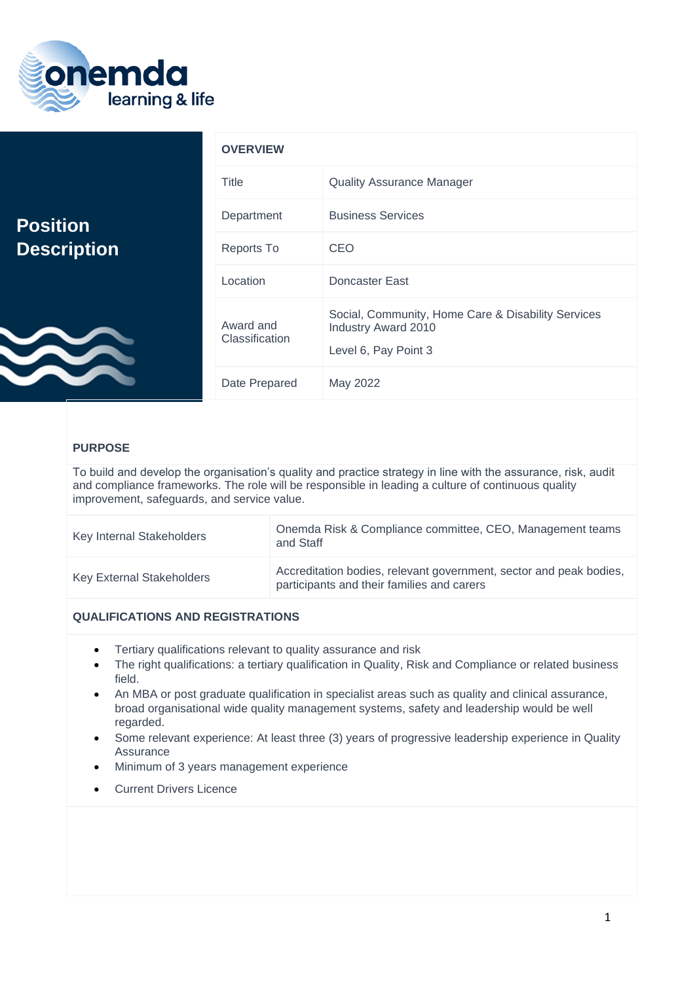

|                                       | <b>OVERVIEW</b>             |                                                                                                   |
|---------------------------------------|-----------------------------|---------------------------------------------------------------------------------------------------|
|                                       | <b>Title</b>                | <b>Quality Assurance Manager</b>                                                                  |
| <b>Position</b><br><b>Description</b> | Department                  | <b>Business Services</b>                                                                          |
|                                       | <b>Reports To</b>           | <b>CEO</b>                                                                                        |
|                                       | Location                    | Doncaster East                                                                                    |
|                                       | Award and<br>Classification | Social, Community, Home Care & Disability Services<br>Industry Award 2010<br>Level 6, Pay Point 3 |
|                                       | Date Prepared               | May 2022                                                                                          |

# **PURPOSE**

To build and develop the organisation's quality and practice strategy in line with the assurance, risk, audit and compliance frameworks. The role will be responsible in leading a culture of continuous quality improvement, safeguards, and service value.

| Key Internal Stakeholders        | Onemda Risk & Compliance committee, CEO, Management teams<br>and Staff                                           |
|----------------------------------|------------------------------------------------------------------------------------------------------------------|
| <b>Key External Stakeholders</b> | Accreditation bodies, relevant government, sector and peak bodies,<br>participants and their families and carers |

# **QUALIFICATIONS AND REGISTRATIONS**

- Tertiary qualifications relevant to quality assurance and risk
- The right qualifications: a tertiary qualification in Quality, Risk and Compliance or related business field.
- An MBA or post graduate qualification in specialist areas such as quality and clinical assurance, broad organisational wide quality management systems, safety and leadership would be well regarded.
- Some relevant experience: At least three (3) years of progressive leadership experience in Quality Assurance
- Minimum of 3 years management experience
- **Current Drivers Licence**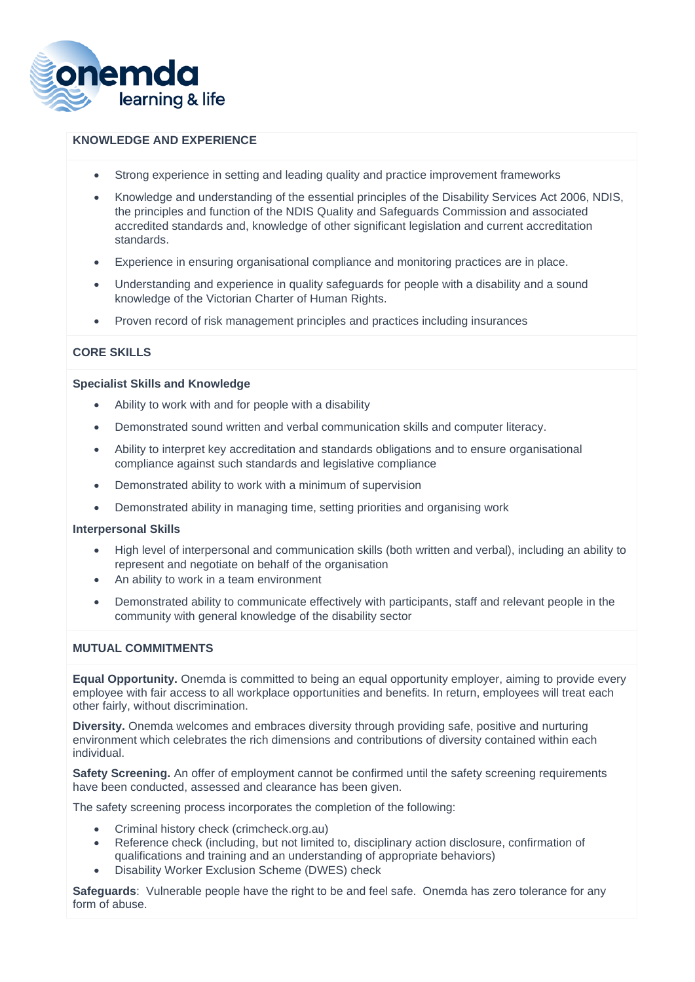

### **KNOWLEDGE AND EXPERIENCE**

- Strong experience in setting and leading quality and practice improvement frameworks
- Knowledge and understanding of the essential principles of the Disability Services Act 2006, NDIS, the principles and function of the NDIS Quality and Safeguards Commission and associated accredited standards and, knowledge of other significant legislation and current accreditation standards.
- Experience in ensuring organisational compliance and monitoring practices are in place.
- Understanding and experience in quality safeguards for people with a disability and a sound knowledge of the Victorian Charter of Human Rights.
- Proven record of risk management principles and practices including insurances

# **CORE SKILLS**

#### **Specialist Skills and Knowledge**

- Ability to work with and for people with a disability
- Demonstrated sound written and verbal communication skills and computer literacy.
- Ability to interpret key accreditation and standards obligations and to ensure organisational compliance against such standards and legislative compliance
- Demonstrated ability to work with a minimum of supervision
- Demonstrated ability in managing time, setting priorities and organising work

#### **Interpersonal Skills**

- High level of interpersonal and communication skills (both written and verbal), including an ability to represent and negotiate on behalf of the organisation
- An ability to work in a team environment
- Demonstrated ability to communicate effectively with participants, staff and relevant people in the community with general knowledge of the disability sector

#### **MUTUAL COMMITMENTS**

**Equal Opportunity.** Onemda is committed to being an equal opportunity employer, aiming to provide every employee with fair access to all workplace opportunities and benefits. In return, employees will treat each other fairly, without discrimination.

**Diversity.** Onemda welcomes and embraces diversity through providing safe, positive and nurturing environment which celebrates the rich dimensions and contributions of diversity contained within each individual.

**Safety Screening.** An offer of employment cannot be confirmed until the safety screening requirements have been conducted, assessed and clearance has been given.

The safety screening process incorporates the completion of the following:

- Criminal history check (crimcheck.org.au)
- Reference check (including, but not limited to, disciplinary action disclosure, confirmation of qualifications and training and an understanding of appropriate behaviors)
- Disability Worker Exclusion Scheme (DWES) check

**Safeguards:** Vulnerable people have the right to be and feel safe. Onemda has zero tolerance for any form of abuse.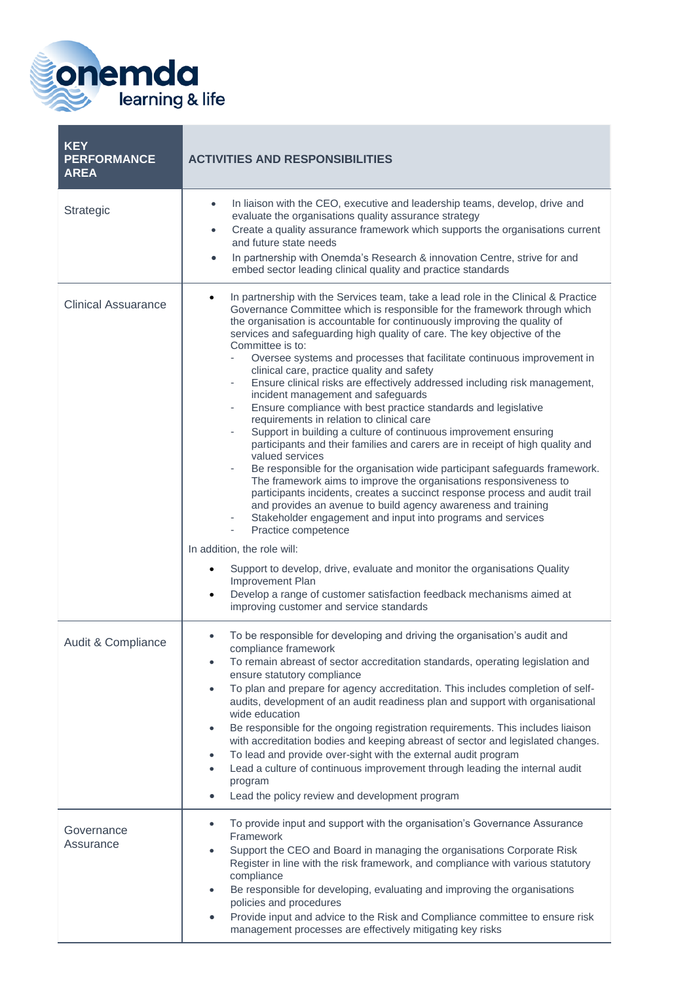

| <b>KEY</b><br><b>PERFORMANCE</b><br><b>AREA</b> | <b>ACTIVITIES AND RESPONSIBILITIES</b>                                                                                                                                                                                                                                                                                                                                                                                                                                                                                                                                                                                                                                                                                                                                                                                                                                                                                                                                                                                                                                                                                                                                                                                                                                                                                                                                                                                                                                                                                                                       |
|-------------------------------------------------|--------------------------------------------------------------------------------------------------------------------------------------------------------------------------------------------------------------------------------------------------------------------------------------------------------------------------------------------------------------------------------------------------------------------------------------------------------------------------------------------------------------------------------------------------------------------------------------------------------------------------------------------------------------------------------------------------------------------------------------------------------------------------------------------------------------------------------------------------------------------------------------------------------------------------------------------------------------------------------------------------------------------------------------------------------------------------------------------------------------------------------------------------------------------------------------------------------------------------------------------------------------------------------------------------------------------------------------------------------------------------------------------------------------------------------------------------------------------------------------------------------------------------------------------------------------|
| Strategic                                       | In liaison with the CEO, executive and leadership teams, develop, drive and<br>$\bullet$<br>evaluate the organisations quality assurance strategy<br>Create a quality assurance framework which supports the organisations current<br>$\bullet$<br>and future state needs<br>In partnership with Onemda's Research & innovation Centre, strive for and<br>$\bullet$<br>embed sector leading clinical quality and practice standards                                                                                                                                                                                                                                                                                                                                                                                                                                                                                                                                                                                                                                                                                                                                                                                                                                                                                                                                                                                                                                                                                                                          |
| <b>Clinical Assuarance</b>                      | In partnership with the Services team, take a lead role in the Clinical & Practice<br>Governance Committee which is responsible for the framework through which<br>the organisation is accountable for continuously improving the quality of<br>services and safeguarding high quality of care. The key objective of the<br>Committee is to:<br>Oversee systems and processes that facilitate continuous improvement in<br>clinical care, practice quality and safety<br>Ensure clinical risks are effectively addressed including risk management,<br>$\overline{\phantom{0}}$<br>incident management and safeguards<br>Ensure compliance with best practice standards and legislative<br>$\overline{\phantom{a}}$<br>requirements in relation to clinical care<br>Support in building a culture of continuous improvement ensuring<br>÷<br>participants and their families and carers are in receipt of high quality and<br>valued services<br>Be responsible for the organisation wide participant safeguards framework.<br>The framework aims to improve the organisations responsiveness to<br>participants incidents, creates a succinct response process and audit trail<br>and provides an avenue to build agency awareness and training<br>Stakeholder engagement and input into programs and services<br>Practice competence<br>In addition, the role will:<br>Support to develop, drive, evaluate and monitor the organisations Quality<br>Improvement Plan<br>Develop a range of customer satisfaction feedback mechanisms aimed at<br>$\bullet$ |
| Audit & Compliance                              | improving customer and service standards<br>To be responsible for developing and driving the organisation's audit and<br>$\bullet$<br>compliance framework<br>To remain abreast of sector accreditation standards, operating legislation and<br>$\bullet$<br>ensure statutory compliance<br>To plan and prepare for agency accreditation. This includes completion of self-<br>$\bullet$                                                                                                                                                                                                                                                                                                                                                                                                                                                                                                                                                                                                                                                                                                                                                                                                                                                                                                                                                                                                                                                                                                                                                                     |
|                                                 | audits, development of an audit readiness plan and support with organisational<br>wide education<br>Be responsible for the ongoing registration requirements. This includes liaison<br>with accreditation bodies and keeping abreast of sector and legislated changes.<br>To lead and provide over-sight with the external audit program<br>Lead a culture of continuous improvement through leading the internal audit<br>$\bullet$<br>program<br>Lead the policy review and development program<br>$\bullet$                                                                                                                                                                                                                                                                                                                                                                                                                                                                                                                                                                                                                                                                                                                                                                                                                                                                                                                                                                                                                                               |
| Governance<br>Assurance                         | To provide input and support with the organisation's Governance Assurance<br>$\bullet$<br>Framework<br>Support the CEO and Board in managing the organisations Corporate Risk<br>$\bullet$<br>Register in line with the risk framework, and compliance with various statutory<br>compliance<br>Be responsible for developing, evaluating and improving the organisations<br>policies and procedures<br>Provide input and advice to the Risk and Compliance committee to ensure risk<br>management processes are effectively mitigating key risks                                                                                                                                                                                                                                                                                                                                                                                                                                                                                                                                                                                                                                                                                                                                                                                                                                                                                                                                                                                                             |